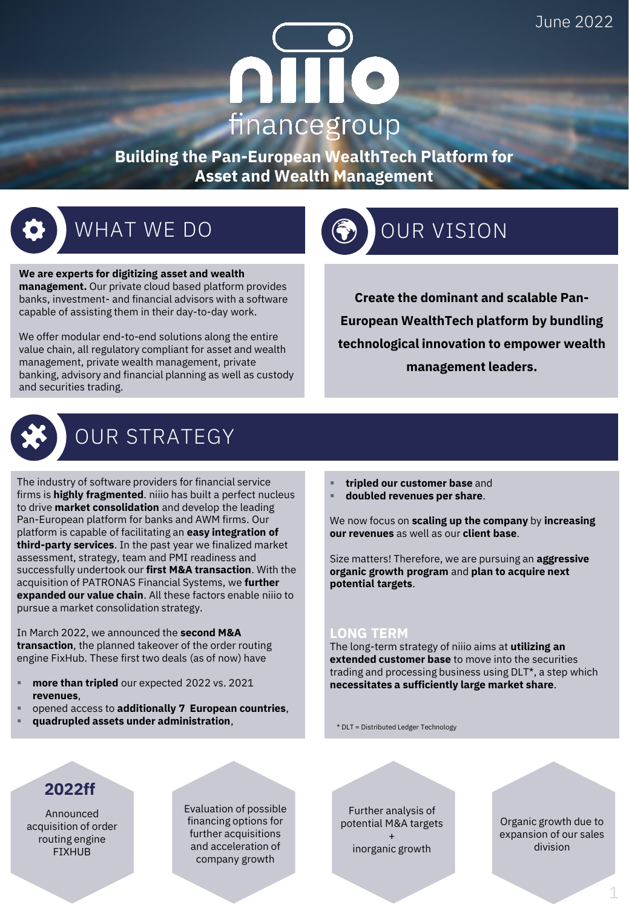# $\bullet$ financegroup

**Building the Pan-European WealthTech Platform for Asset and Wealth Management**



# WHAT WE DO GO OUR VISION

**We are experts for digitizing asset and wealth management.** Our private cloud based platform provides banks, investment- and financial advisors with a software capable of assisting them in their day-to-day work.

We offer modular end-to-end solutions along the entire value chain, all regulatory compliant for asset and wealth management, private wealth management, private banking, advisory and financial planning as well as custody and securities trading.



# OUR STRATEGY

The industry of software providers for financial service firms is **highly fragmented**. niiio has built a perfect nucleus to drive **market consolidation** and develop the leading Pan-European platform for banks and AWM firms. Our platform is capable of facilitating an **easy integration of third-party services**. In the past year we finalized market assessment, strategy, team and PMI readiness and successfully undertook our **first M&A transaction**. With the acquisition of PATRONAS Financial Systems, we **further expanded our value chain**. All these factors enable niiio to pursue a market consolidation strategy.

In March 2022, we announced the **second M&A transaction**, the planned takeover of the order routing engine FixHub. These first two deals (as of now) have

- more than tripled our expected 2022 vs. 2021 **revenues**,
- opened access to **additionally 7 European countries**,
- **quadrupled assets under administration**,
- **tripled our customer base** and
- **doubled revenues per share**.

We now focus on **scaling up the company** by **increasing our revenues** as well as our **client base**.

**Create the dominant and scalable Pan-**

**European WealthTech platform by bundling technological innovation to empower wealth management leaders.**

Size matters! Therefore, we are pursuing an **aggressive organic growth program** and **plan to acquire next potential targets**.

#### **LONG TERM**

The long-term strategy of niiio aims at **utilizing an extended customer base** to move into the securities trading and processing business using DLT\*, a step which **necessitates a sufficiently large market share**.

\* DLT = Distributed Ledger Technology

## **2022ff**

Announced acquisition of order routing engine FIXHUB

Evaluation of possible financing options for further acquisitions and acceleration of company growth

Further analysis of potential M&A targets + inorganic growth

Organic growth due to expansion of our sales division